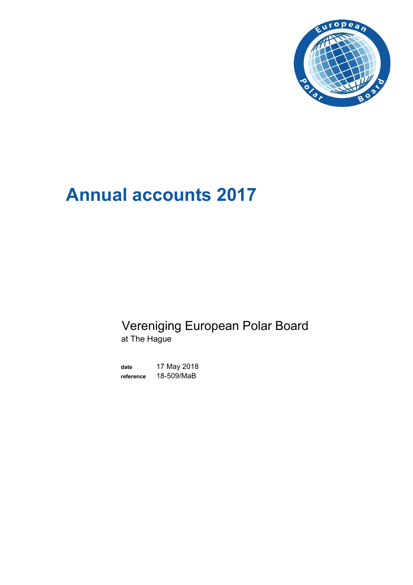

# **Annual accounts 2017**

# Vereniging European Polar Board at The Hague

**date** 17 May 2018 **reference** 18-509/MaB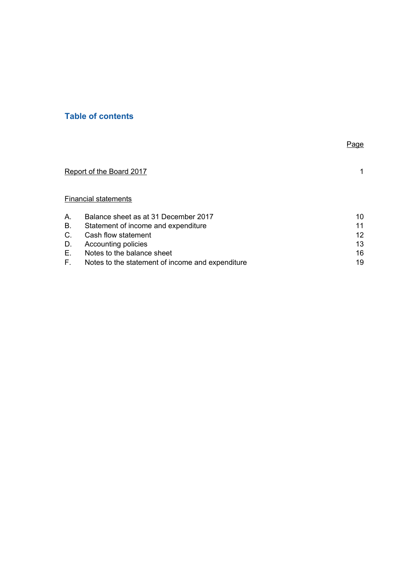# **Table of contents**

|    |                                                  | Page              |
|----|--------------------------------------------------|-------------------|
|    | Report of the Board 2017                         | 1.                |
|    | <b>Financial statements</b>                      |                   |
| Α. | Balance sheet as at 31 December 2017             | 10                |
| В. | Statement of income and expenditure              | 11                |
| C. | Cash flow statement                              | $12 \overline{ }$ |
| D. | Accounting policies                              | 13                |
| Е. | Notes to the balance sheet                       | 16                |
| E. | Notes to the statement of income and expenditure | 19                |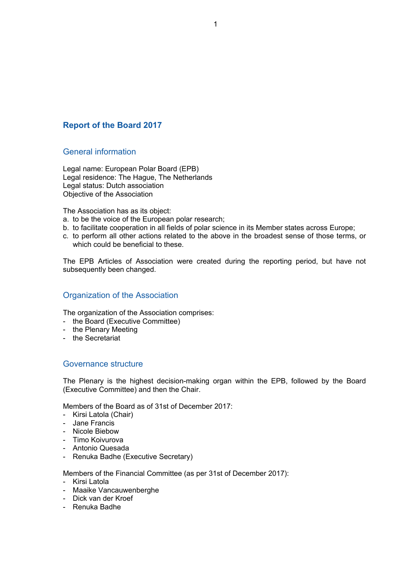# **Report of the Board 2017**

# General information

Legal name: European Polar Board (EPB) Legal residence: The Hague, The Netherlands Legal status: Dutch association Objective of the Association

The Association has as its object:

- a. to be the voice of the European polar research;
- b. to facilitate cooperation in all fields of polar science in its Member states across Europe;
- c. to perform all other actions related to the above in the broadest sense of those terms, or which could be beneficial to these.

The EPB Articles of Association were created during the reporting period, but have not subsequently been changed.

# Organization of the Association

The organization of the Association comprises:

- the Board (Executive Committee)
- the Plenary Meeting
- the Secretariat

## Governance structure

The Plenary is the highest decision-making organ within the EPB, followed by the Board (Executive Committee) and then the Chair.

Members of the Board as of 31st of December 2017:

- Kirsi Latola (Chair)
- Jane Francis
- Nicole Biebow
- Timo Koivurova
- Antonio Quesada
- Renuka Badhe (Executive Secretary)

Members of the Financial Committee (as per 31st of December 2017):

- Kirsi Latola
- Maaike Vancauwenberghe
- Dick van der Kroef
- Renuka Badhe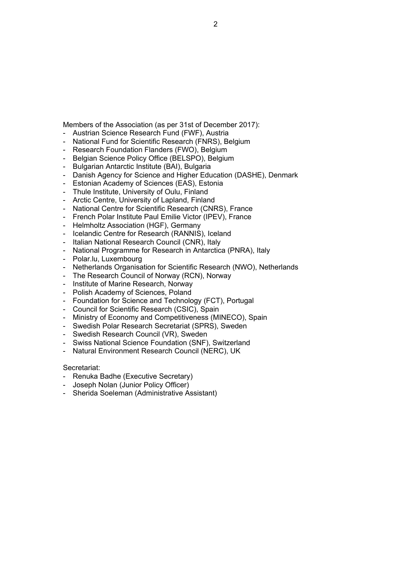# 2

- Members of the Association (as per 31st of December 2017): - Austrian Science Research Fund (FWF), Austria
- National Fund for Scientific Research (FNRS), Belgium
- 
- Research Foundation Flanders (FWO), Belgium
- Belgian Science Policy Office (BELSPO), Belgium
- Bulgarian Antarctic Institute (BAI), Bulgaria
- Danish Agency for Science and Higher Education (DASHE), Denmark
- Estonian Academy of Sciences (EAS), Estonia
- Thule Institute, University of Oulu, Finland
- Arctic Centre, University of Lapland, Finland
- National Centre for Scientific Research (CNRS), France
- French Polar Institute Paul Emilie Victor (IPEV), France
- Helmholtz Association (HGF), Germany
- Icelandic Centre for Research (RANNIS), Iceland
- Italian National Research Council (CNR), Italy
- National Programme for Research in Antarctica (PNRA), Italy
- Polar.lu, Luxembourg
- Netherlands Organisation for Scientific Research (NWO), Netherlands
- The Research Council of Norway (RCN), Norway
- Institute of Marine Research, Norway
- Polish Academy of Sciences, Poland
- Foundation for Science and Technology (FCT), Portugal
- Council for Scientific Research (CSIC), Spain
- Ministry of Economy and Competitiveness (MINECO), Spain
- Swedish Polar Research Secretariat (SPRS), Sweden
- Swedish Research Council (VR), Sweden
- Swiss National Science Foundation (SNF), Switzerland
- Natural Environment Research Council (NERC), UK

#### Secretariat:

- Renuka Badhe (Executive Secretary)
- Joseph Nolan (Junior Policy Officer)
- Sherida Soeleman (Administrative Assistant)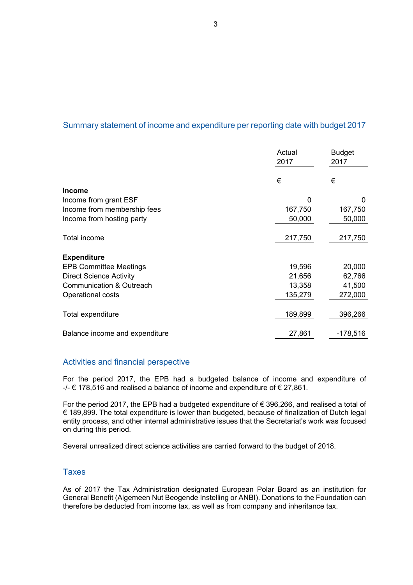# Summary statement of income and expenditure per reporting date with budget 2017

|                                | Actual<br>2017 | <b>Budget</b><br>2017 |
|--------------------------------|----------------|-----------------------|
|                                | €              | €                     |
| <b>Income</b>                  |                |                       |
| Income from grant ESF          | $\Omega$       | 0                     |
| Income from membership fees    | 167,750        | 167,750               |
| Income from hosting party      | 50,000         | 50,000                |
| Total income                   | 217,750        | 217,750               |
| <b>Expenditure</b>             |                |                       |
| <b>EPB Committee Meetings</b>  | 19,596         | 20,000                |
| <b>Direct Science Activity</b> | 21,656         | 62,766                |
| Communication & Outreach       | 13,358         | 41,500                |
| Operational costs              | 135,279        | 272,000               |
| Total expenditure              | 189,899        | 396,266               |
| Balance income and expenditure | 27,861         | $-178,516$            |

# Activities and financial perspective

For the period 2017, the EPB had a budgeted balance of income and expenditure of  $-/ \in$  178,516 and realised a balance of income and expenditure of  $\in$  27,861.

For the period 2017, the EPB had a budgeted expenditure of € 396,266, and realised a total of € 189,899. The total expenditure is lower than budgeted, because of finalization of Dutch legal entity process, and other internal administrative issues that the Secretariat's work was focused on during this period.

Several unrealized direct science activities are carried forward to the budget of 2018.

# Taxes

As of 2017 the Tax Administration designated European Polar Board as an institution for General Benefit (Algemeen Nut Beogende Instelling or ANBI). Donations to the Foundation can therefore be deducted from income tax, as well as from company and inheritance tax.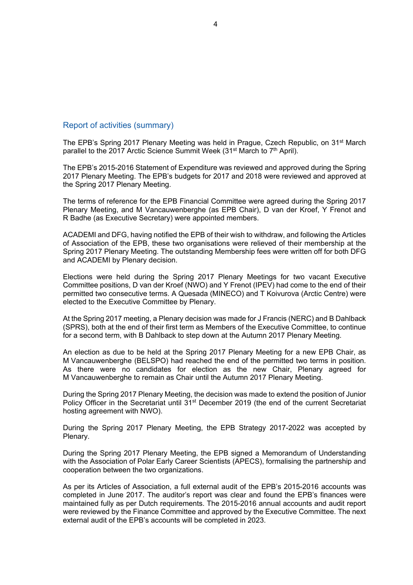# Report of activities (summary)

The EPB's Spring 2017 Plenary Meeting was held in Prague, Czech Republic, on 31<sup>st</sup> March parallel to the 2017 Arctic Science Summit Week (31<sup>st</sup> March to 7<sup>th</sup> April).

The EPB's 2015-2016 Statement of Expenditure was reviewed and approved during the Spring 2017 Plenary Meeting. The EPB's budgets for 2017 and 2018 were reviewed and approved at the Spring 2017 Plenary Meeting.

The terms of reference for the EPB Financial Committee were agreed during the Spring 2017 Plenary Meeting, and M Vancauwenberghe (as EPB Chair), D van der Kroef, Y Frenot and R Badhe (as Executive Secretary) were appointed members.

ACADEMI and DFG, having notified the EPB of their wish to withdraw, and following the Articles of Association of the EPB, these two organisations were relieved of their membership at the Spring 2017 Plenary Meeting. The outstanding Membership fees were written off for both DFG and ACADEMI by Plenary decision.

Elections were held during the Spring 2017 Plenary Meetings for two vacant Executive Committee positions, D van der Kroef (NWO) and Y Frenot (IPEV) had come to the end of their permitted two consecutive terms. A Quesada (MINECO) and T Koivurova (Arctic Centre) were elected to the Executive Committee by Plenary.

At the Spring 2017 meeting, a Plenary decision was made for J Francis (NERC) and B Dahlback (SPRS), both at the end of their first term as Members of the Executive Committee, to continue for a second term, with B Dahlback to step down at the Autumn 2017 Plenary Meeting.

An election as due to be held at the Spring 2017 Plenary Meeting for a new EPB Chair, as M Vancauwenberghe (BELSPO) had reached the end of the permitted two terms in position. As there were no candidates for election as the new Chair, Plenary agreed for M Vancauwenberghe to remain as Chair until the Autumn 2017 Plenary Meeting.

During the Spring 2017 Plenary Meeting, the decision was made to extend the position of Junior Policy Officer in the Secretariat until 31<sup>st</sup> December 2019 (the end of the current Secretariat hosting agreement with NWO).

During the Spring 2017 Plenary Meeting, the EPB Strategy 2017-2022 was accepted by Plenary.

During the Spring 2017 Plenary Meeting, the EPB signed a Memorandum of Understanding with the Association of Polar Early Career Scientists (APECS), formalising the partnership and cooperation between the two organizations.

As per its Articles of Association, a full external audit of the EPB's 2015-2016 accounts was completed in June 2017. The auditor's report was clear and found the EPB's finances were maintained fully as per Dutch requirements. The 2015-2016 annual accounts and audit report were reviewed by the Finance Committee and approved by the Executive Committee. The next external audit of the EPB's accounts will be completed in 2023.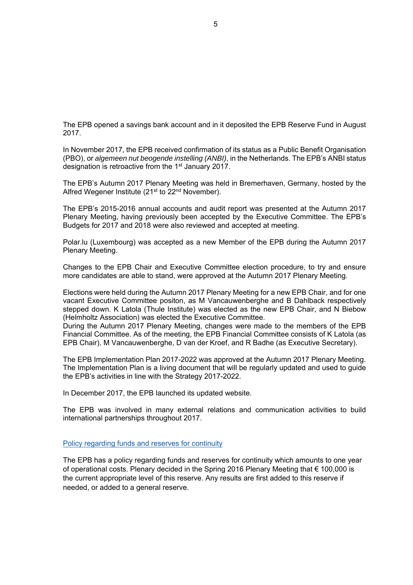The EPB opened a savings bank account and in it deposited the EPB Reserve Fund in August 2017.

In November 2017, the EPB received confirmation of its status as a Public Benefit Organisation (PBO), or *algemeen nut beogende instelling (ANBI)*, in the Netherlands. The EPB's ANBI status designation is retroactive from the 1st January 2017.

The EPB's Autumn 2017 Plenary Meeting was held in Bremerhaven, Germany, hosted by the Alfred Wegener Institute (21<sup>st</sup> to 22<sup>nd</sup> November).

The EPB's 2015-2016 annual accounts and audit report was presented at the Autumn 2017 Plenary Meeting, having previously been accepted by the Executive Committee. The EPB's Budgets for 2017 and 2018 were also reviewed and accepted at meeting.

Polar.lu (Luxembourg) was accepted as a new Member of the EPB during the Autumn 2017 Plenary Meeting.

Changes to the EPB Chair and Executive Committee election procedure, to try and ensure more candidates are able to stand, were approved at the Autumn 2017 Plenary Meeting.

Elections were held during the Autumn 2017 Plenary Meeting for a new EPB Chair, and for one vacant Executive Committee positon, as M Vancauwenberghe and B Dahlback respectively stepped down. K Latola (Thule Institute) was elected as the new EPB Chair, and N Biebow (Helmholtz Association) was elected the Executive Committee.

During the Autumn 2017 Plenary Meeting, changes were made to the members of the EPB Financial Committee. As of the meeting, the EPB Financial Committee consists of K Latola (as EPB Chair), M Vancauwenberghe, D van der Kroef, and R Badhe (as Executive Secretary).

The EPB Implementation Plan 2017-2022 was approved at the Autumn 2017 Plenary Meeting. The Implementation Plan is a living document that will be regularly updated and used to guide the EPB's activities in line with the Strategy 2017-2022.

In December 2017, the EPB launched its updated website.

The EPB was involved in many external relations and communication activities to build international partnerships throughout 2017.

Policy regarding funds and reserves for continuity

The EPB has a policy regarding funds and reserves for continuity which amounts to one year of operational costs. Plenary decided in the Spring 2016 Plenary Meeting that € 100,000 is the current appropriate level of this reserve. Any results are first added to this reserve if needed, or added to a general reserve.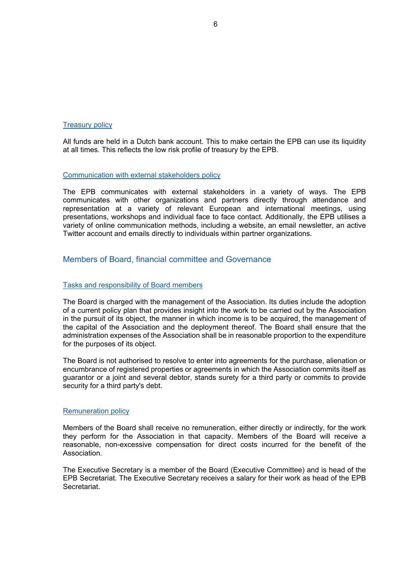#### Treasury policy

All funds are held in a Dutch bank account. This to make certain the EPB can use its liquidity at all times. This reflects the low risk profile of treasury by the EPB.

#### Communication with external stakeholders policy

The EPB communicates with external stakeholders in a variety of ways. The EPB communicates with other organizations and partners directly through attendance and representation at a variety of relevant European and international meetings, using presentations, workshops and individual face to face contact. Additionally, the EPB utilises a variety of online communication methods, including a website, an email newsletter, an active Twitter account and emails directly to individuals within partner organizations.

# Members of Board, financial committee and Governance

#### Tasks and responsibility of Board members

The Board is charged with the management of the Association. Its duties include the adoption of a current policy plan that provides insight into the work to be carried out by the Association in the pursuit of its object, the manner in which income is to be acquired, the management of the capital of the Association and the deployment thereof. The Board shall ensure that the administration expenses of the Association shall be in reasonable proportion to the expenditure for the purposes of its object.

The Board is not authorised to resolve to enter into agreements for the purchase, alienation or encumbrance of registered properties or agreements in which the Association commits itself as guarantor or a joint and several debtor, stands surety for a third party or commits to provide security for a third party's debt.

#### Remuneration policy

Members of the Board shall receive no remuneration, either directly or indirectly, for the work they perform for the Association in that capacity. Members of the Board will receive a reasonable, non-excessive compensation for direct costs incurred for the benefit of the Association.

The Executive Secretary is a member of the Board (Executive Committee) and is head of the EPB Secretariat. The Executive Secretary receives a salary for their work as head of the EPB Secretariat.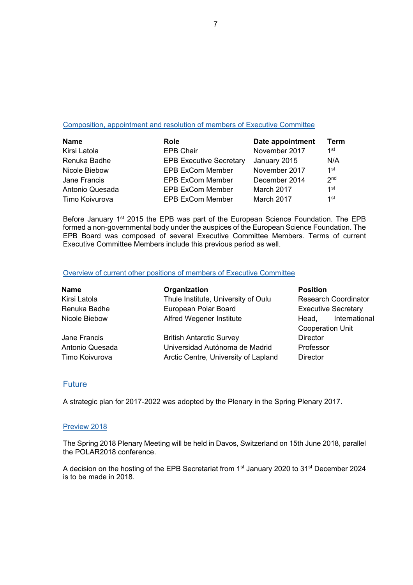#### Composition, appointment and resolution of members of Executive Committee

| <b>Name</b>     | <b>Role</b>                    | Date appointment | Term            |
|-----------------|--------------------------------|------------------|-----------------|
| Kirsi Latola    | <b>EPB Chair</b>               | November 2017    | 1st             |
| Renuka Badhe    | <b>EPB Executive Secretary</b> | January 2015     | N/A             |
| Nicole Biebow   | <b>EPB ExCom Member</b>        | November 2017    | 1st             |
| Jane Francis    | <b>EPB ExCom Member</b>        | December 2014    | 2 <sub>nd</sub> |
| Antonio Quesada | <b>EPB ExCom Member</b>        | March 2017       | 1st             |
| Timo Koivurova  | <b>EPB ExCom Member</b>        | March 2017       | 1st             |

Before January 1<sup>st</sup> 2015 the EPB was part of the European Science Foundation. The EPB formed a non-governmental body under the auspices of the European Science Foundation. The EPB Board was composed of several Executive Committee Members. Terms of current Executive Committee Members include this previous period as well.

#### Overview of current other positions of members of Executive Committee

| <b>Name</b>     | Organization                         | <b>Position</b>             |
|-----------------|--------------------------------------|-----------------------------|
| Kirsi Latola    | Thule Institute, University of Oulu  | <b>Research Coordinator</b> |
| Renuka Badhe    | European Polar Board                 | <b>Executive Secretary</b>  |
| Nicole Biebow   | Alfred Wegener Institute             | International<br>Head,      |
|                 |                                      | <b>Cooperation Unit</b>     |
| Jane Francis    | <b>British Antarctic Survey</b>      | <b>Director</b>             |
| Antonio Quesada | Universidad Autónoma de Madrid       | Professor                   |
| Timo Koivurova  | Arctic Centre, University of Lapland | <b>Director</b>             |

# Future

A strategic plan for 2017-2022 was adopted by the Plenary in the Spring Plenary 2017.

#### Preview 2018

The Spring 2018 Plenary Meeting will be held in Davos, Switzerland on 15th June 2018, parallel the POLAR2018 conference.

A decision on the hosting of the EPB Secretariat from 1st January 2020 to 31st December 2024 is to be made in 2018.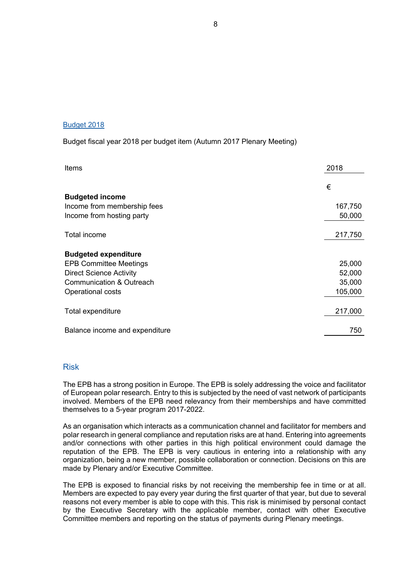#### Budget 2018

### Budget fiscal year 2018 per budget item (Autumn 2017 Plenary Meeting)

| <b>Items</b>                   | 2018    |
|--------------------------------|---------|
|                                | €       |
| <b>Budgeted income</b>         |         |
| Income from membership fees    | 167,750 |
| Income from hosting party      | 50,000  |
| Total income                   | 217,750 |
| <b>Budgeted expenditure</b>    |         |
| <b>EPB Committee Meetings</b>  | 25,000  |
| <b>Direct Science Activity</b> | 52,000  |
| Communication & Outreach       | 35,000  |
| Operational costs              | 105,000 |
| Total expenditure              | 217,000 |
| Balance income and expenditure | 750     |

# Risk

The EPB has a strong position in Europe. The EPB is solely addressing the voice and facilitator of European polar research. Entry to this is subjected by the need of vast network of participants involved. Members of the EPB need relevancy from their memberships and have committed themselves to a 5-year program 2017-2022.

As an organisation which interacts as a communication channel and facilitator for members and polar research in general compliance and reputation risks are at hand. Entering into agreements and/or connections with other parties in this high political environment could damage the reputation of the EPB. The EPB is very cautious in entering into a relationship with any organization, being a new member, possible collaboration or connection. Decisions on this are made by Plenary and/or Executive Committee.

The EPB is exposed to financial risks by not receiving the membership fee in time or at all. Members are expected to pay every year during the first quarter of that year, but due to several reasons not every member is able to cope with this. This risk is minimised by personal contact by the Executive Secretary with the applicable member, contact with other Executive Committee members and reporting on the status of payments during Plenary meetings.